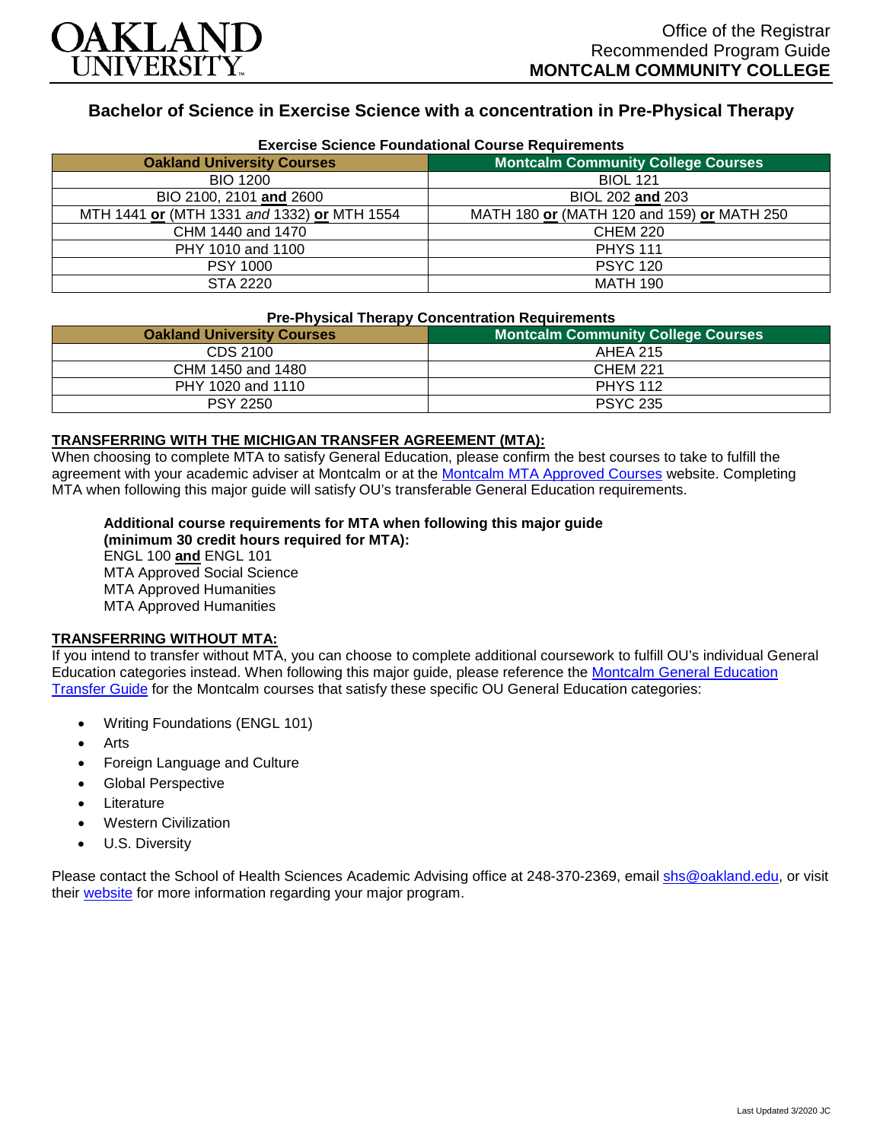

# **Bachelor of Science in Exercise Science with a concentration in Pre-Physical Therapy**

| <b>Exercise Science Foundational Course Requirements</b> |                                            |
|----------------------------------------------------------|--------------------------------------------|
| <b>Oakland University Courses</b>                        | <b>Montcalm Community College Courses</b>  |
| <b>BIO 1200</b>                                          | <b>BIOL 121</b>                            |
| BIO 2100, 2101 and 2600                                  | BIOL 202 and 203                           |
| MTH 1441 or (MTH 1331 and 1332) or MTH 1554              | MATH 180 or (MATH 120 and 159) or MATH 250 |
| CHM 1440 and 1470                                        | <b>CHEM 220</b>                            |
| PHY 1010 and 1100                                        | <b>PHYS 111</b>                            |
| <b>PSY 1000</b>                                          | <b>PSYC 120</b>                            |
| STA 2220                                                 | <b>MATH 190</b>                            |

#### **Pre-Physical Therapy Concentration Requirements**

| ---<br><b>Oakland University Courses</b> | <b>Montcalm Community College Courses</b> |
|------------------------------------------|-------------------------------------------|
| CDS 2100                                 | AHEA 215                                  |
| CHM 1450 and 1480                        | CHEM 221                                  |
| PHY 1020 and 1110                        | <b>PHYS 112</b>                           |
| <b>PSY 2250</b>                          | <b>PSYC 235</b>                           |

### **TRANSFERRING WITH THE MICHIGAN TRANSFER AGREEMENT (MTA):**

When choosing to complete MTA to satisfy General Education, please confirm the best courses to take to fulfill the agreement with your academic adviser at Montcalm or at the [Montcalm MTA Approved Courses](https://www.montcalm.edu/counseling/transfer/) website. Completing MTA when following this major guide will satisfy OU's transferable General Education requirements.

## **Additional course requirements for MTA when following this major guide**

**(minimum 30 credit hours required for MTA):** ENGL 100 **and** ENGL 101 MTA Approved Social Science MTA Approved Humanities MTA Approved Humanities

#### **TRANSFERRING WITHOUT MTA:**

If you intend to transfer without MTA, you can choose to complete additional coursework to fulfill OU's individual General Education categories instead. When following this major guide, please reference the [Montcalm General Education](https://www.oakland.edu/Assets/Oakland/program-guides/montcalm-community-college/university-general-education-requirements/Montcalm%20Gen%20Ed.pdf)  [Transfer Guide](https://www.oakland.edu/Assets/Oakland/program-guides/montcalm-community-college/university-general-education-requirements/Montcalm%20Gen%20Ed.pdf) for the Montcalm courses that satisfy these specific OU General Education categories:

- Writing Foundations (ENGL 101)
- **Arts**
- Foreign Language and Culture
- Global Perspective
- **Literature**
- Western Civilization
- U.S. Diversity

Please contact the School of Health Sciences Academic Advising office at 248-370-2369, email [shs@oakland.edu,](mailto:shs@oakland.edu) or visit their [website](http://www.oakland.edu/shs/advising) for more information regarding your major program.